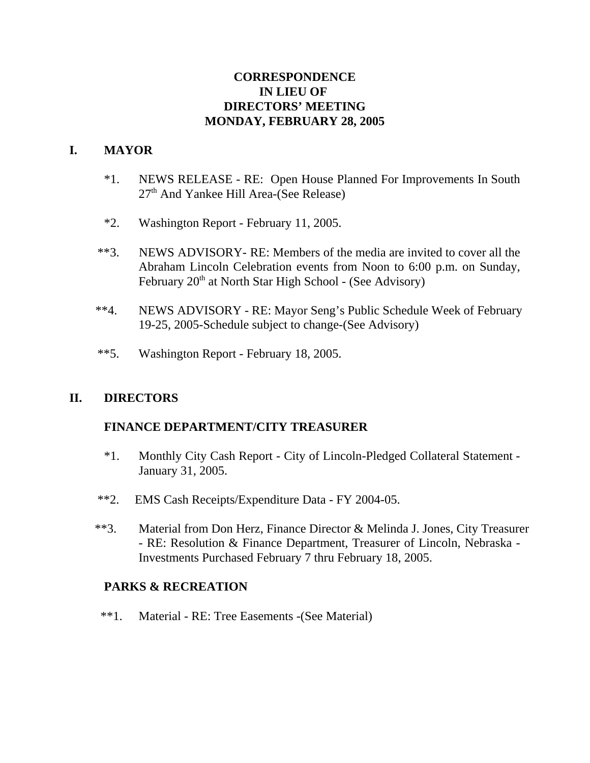## **CORRESPONDENCE IN LIEU OF DIRECTORS' MEETING MONDAY, FEBRUARY 28, 2005**

## **I. MAYOR**

- \*1. NEWS RELEASE RE: Open House Planned For Improvements In South  $27<sup>th</sup>$  And Yankee Hill Area-(See Release)
- \*2. Washington Report February 11, 2005.
- \*\*3. NEWS ADVISORY- RE: Members of the media are invited to cover all the Abraham Lincoln Celebration events from Noon to 6:00 p.m. on Sunday, February  $20<sup>th</sup>$  at North Star High School - (See Advisory)
- \*\*4. NEWS ADVISORY RE: Mayor Seng's Public Schedule Week of February 19-25, 2005-Schedule subject to change-(See Advisory)
- \*\*5. Washington Report February 18, 2005.

### **II. DIRECTORS**

### **FINANCE DEPARTMENT/CITY TREASURER**

- \*1. Monthly City Cash Report City of Lincoln-Pledged Collateral Statement January 31, 2005.
- \*\*2. EMS Cash Receipts/Expenditure Data FY 2004-05.
- \*\*3. Material from Don Herz, Finance Director & Melinda J. Jones, City Treasurer - RE: Resolution & Finance Department, Treasurer of Lincoln, Nebraska - Investments Purchased February 7 thru February 18, 2005.

### **PARKS & RECREATION**

\*\*1. Material - RE: Tree Easements -(See Material)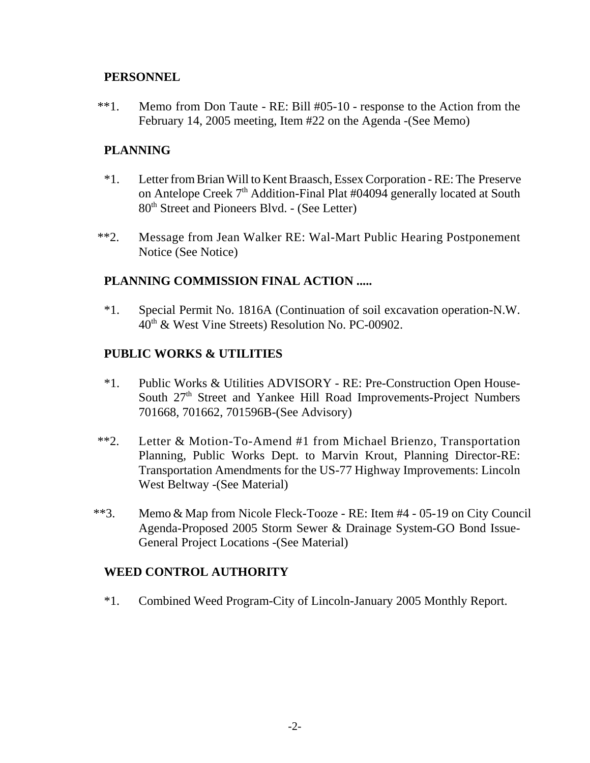### **PERSONNEL**

\*\*1. Memo from Don Taute - RE: Bill #05-10 - response to the Action from the February 14, 2005 meeting, Item #22 on the Agenda -(See Memo)

## **PLANNING**

- \*1. Letter from Brian Will to Kent Braasch, Essex Corporation RE: The Preserve on Antelope Creek 7<sup>th</sup> Addition-Final Plat #04094 generally located at South 80th Street and Pioneers Blvd. - (See Letter)
- \*\*2. Message from Jean Walker RE: Wal-Mart Public Hearing Postponement Notice (See Notice)

### **PLANNING COMMISSION FINAL ACTION .....**

\*1. Special Permit No. 1816A (Continuation of soil excavation operation-N.W.  $40<sup>th</sup>$  & West Vine Streets) Resolution No. PC-00902.

## **PUBLIC WORKS & UTILITIES**

- \*1. Public Works & Utilities ADVISORY RE: Pre-Construction Open House-South 27<sup>th</sup> Street and Yankee Hill Road Improvements-Project Numbers 701668, 701662, 701596B-(See Advisory)
- \*\*2. Letter & Motion-To-Amend #1 from Michael Brienzo, Transportation Planning, Public Works Dept. to Marvin Krout, Planning Director-RE: Transportation Amendments for the US-77 Highway Improvements: Lincoln West Beltway -(See Material)
- \*\*3. Memo & Map from Nicole Fleck-Tooze RE: Item #4 05-19 on City Council Agenda-Proposed 2005 Storm Sewer & Drainage System-GO Bond Issue-General Project Locations -(See Material)

### **WEED CONTROL AUTHORITY**

\*1. Combined Weed Program-City of Lincoln-January 2005 Monthly Report.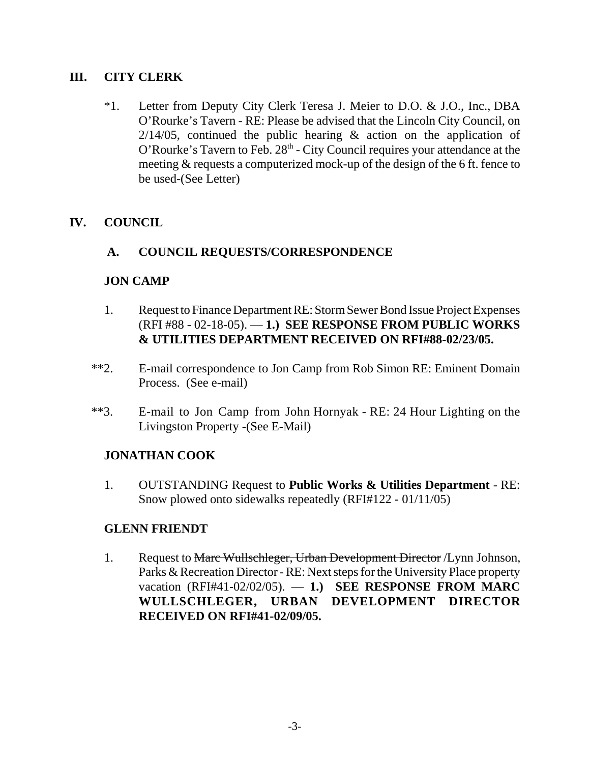## **III. CITY CLERK**

\*1. Letter from Deputy City Clerk Teresa J. Meier to D.O. & J.O., Inc., DBA O'Rourke's Tavern - RE: Please be advised that the Lincoln City Council, on  $2/14/05$ , continued the public hearing & action on the application of O'Rourke's Tavern to Feb.  $28<sup>th</sup>$  - City Council requires your attendance at the meeting & requests a computerized mock-up of the design of the 6 ft. fence to be used-(See Letter)

# **IV. COUNCIL**

### **A. COUNCIL REQUESTS/CORRESPONDENCE**

### **JON CAMP**

- 1. Request to Finance Department RE: Storm Sewer Bond Issue Project Expenses (RFI #88 - 02-18-05). — **1.) SEE RESPONSE FROM PUBLIC WORKS & UTILITIES DEPARTMENT RECEIVED ON RFI#88-02/23/05.**
- \*\*2. E-mail correspondence to Jon Camp from Rob Simon RE: Eminent Domain Process. (See e-mail)
- \*\*3. E-mail to Jon Camp from John Hornyak RE: 24 Hour Lighting on the Livingston Property -(See E-Mail)

# **JONATHAN COOK**

1. OUTSTANDING Request to **Public Works & Utilities Department** - RE: Snow plowed onto sidewalks repeatedly (RFI#122 - 01/11/05)

### **GLENN FRIENDT**

1. Request to Marc Wullschleger, Urban Development Director / Lynn Johnson, Parks & Recreation Director - RE: Next steps for the University Place property vacation (RFI#41-02/02/05). — **1.) SEE RESPONSE FROM MARC WULLSCHLEGER, URBAN DEVELOPMENT DIRECTOR RECEIVED ON RFI#41-02/09/05.**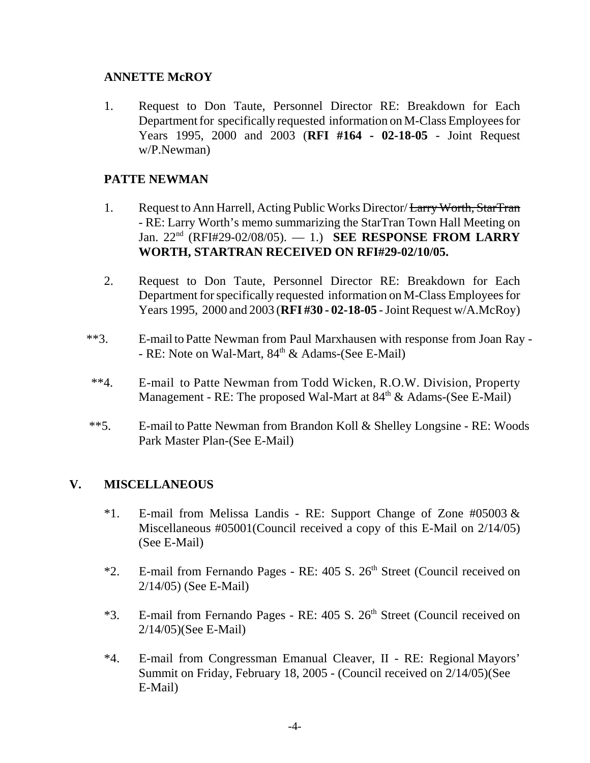### **ANNETTE McROY**

1. Request to Don Taute, Personnel Director RE: Breakdown for Each Department for specifically requested information on M-Class Employees for Years 1995, 2000 and 2003 (**RFI #164 - 02-18-05** - Joint Request w/P.Newman)

## **PATTE NEWMAN**

- 1. Request to Ann Harrell, Acting Public Works Director/ Larry Worth, StarTran - RE: Larry Worth's memo summarizing the StarTran Town Hall Meeting on Jan. 22nd (RFI#29-02/08/05). — 1.) **SEE RESPONSE FROM LARRY WORTH, STARTRAN RECEIVED ON RFI#29-02/10/05.**
- 2. Request to Don Taute, Personnel Director RE: Breakdown for Each Department for specifically requested information on M-Class Employees for Years 1995, 2000 and 2003 (**RFI #30 - 02-18-05** - Joint Request w/A.McRoy)
- \*\*3. E-mail to Patte Newman from Paul Marxhausen with response from Joan Ray - RE: Note on Wal-Mart,  $84<sup>th</sup>$  & Adams-(See E-Mail)
- \*\*4. E-mail to Patte Newman from Todd Wicken, R.O.W. Division, Property Management - RE: The proposed Wal-Mart at  $84<sup>th</sup>$  & Adams-(See E-Mail)
- \*\*5. E-mail to Patte Newman from Brandon Koll & Shelley Longsine RE: Woods Park Master Plan-(See E-Mail)

# **V. MISCELLANEOUS**

- \*1. E-mail from Melissa Landis RE: Support Change of Zone  $\#05003 \&$ Miscellaneous #05001(Council received a copy of this E-Mail on 2/14/05) (See E-Mail)
- \*2. E-mail from Fernando Pages RE: 405 S. 26<sup>th</sup> Street (Council received on 2/14/05) (See E-Mail)
- \*3. E-mail from Fernando Pages RE: 405 S. 26<sup>th</sup> Street (Council received on 2/14/05)(See E-Mail)
- \*4. E-mail from Congressman Emanual Cleaver, II RE: Regional Mayors' Summit on Friday, February 18, 2005 - (Council received on 2/14/05)(See E-Mail)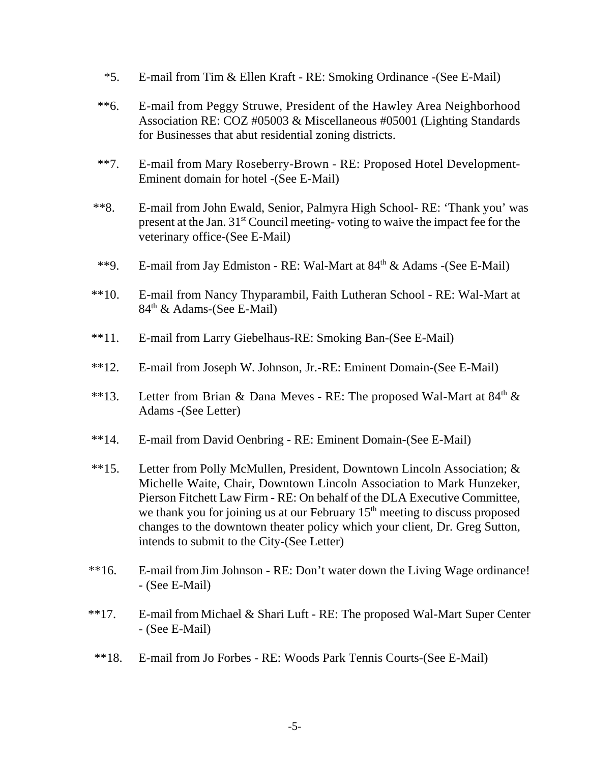- \*5. E-mail from Tim & Ellen Kraft RE: Smoking Ordinance -(See E-Mail)
- \*\*6. E-mail from Peggy Struwe, President of the Hawley Area Neighborhood Association RE: COZ #05003 & Miscellaneous #05001 (Lighting Standards for Businesses that abut residential zoning districts.
- \*\*7. E-mail from Mary Roseberry-Brown RE: Proposed Hotel Development-Eminent domain for hotel -(See E-Mail)
- \*\*8. E-mail from John Ewald, Senior, Palmyra High School- RE: 'Thank you' was present at the Jan. 31st Council meeting- voting to waive the impact fee for the veterinary office-(See E-Mail)
- \*\*9. E-mail from Jay Edmiston RE: Wal-Mart at  $84<sup>th</sup>$  & Adams -(See E-Mail)
- \*\*10. E-mail from Nancy Thyparambil, Faith Lutheran School RE: Wal-Mart at 84<sup>th</sup> & Adams-(See E-Mail)
- \*\*11. E-mail from Larry Giebelhaus-RE: Smoking Ban-(See E-Mail)
- \*\*12. E-mail from Joseph W. Johnson, Jr.-RE: Eminent Domain-(See E-Mail)
- \*\*13. Letter from Brian & Dana Meves RE: The proposed Wal-Mart at  $84<sup>th</sup>$  & Adams -(See Letter)
- \*\*14. E-mail from David Oenbring RE: Eminent Domain-(See E-Mail)
- \*\*15. Letter from Polly McMullen, President, Downtown Lincoln Association; & Michelle Waite, Chair, Downtown Lincoln Association to Mark Hunzeker, Pierson Fitchett Law Firm - RE: On behalf of the DLA Executive Committee, we thank you for joining us at our February  $15<sup>th</sup>$  meeting to discuss proposed changes to the downtown theater policy which your client, Dr. Greg Sutton, intends to submit to the City-(See Letter)
- \*\*16. E-mail from Jim Johnson RE: Don't water down the Living Wage ordinance! - (See E-Mail)
- \*\*17. E-mail from Michael & Shari Luft RE: The proposed Wal-Mart Super Center - (See E-Mail)
- \*\*18. E-mail from Jo Forbes RE: Woods Park Tennis Courts-(See E-Mail)